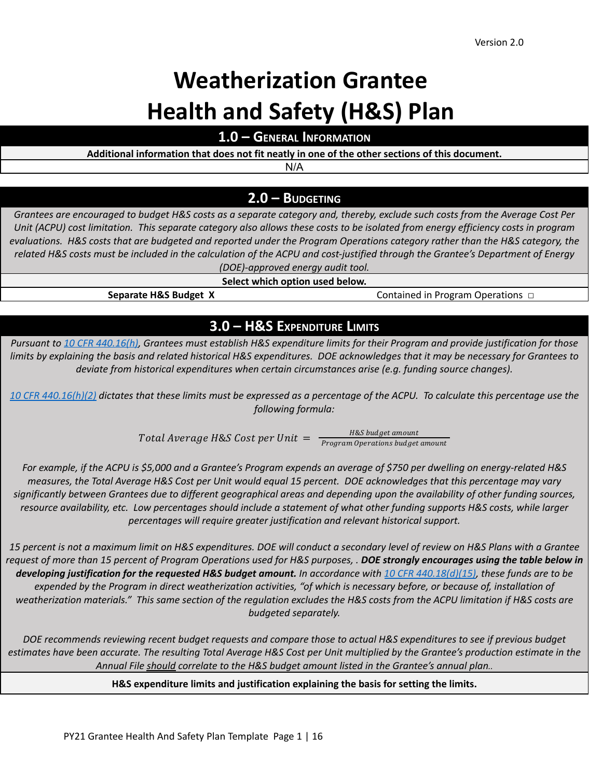# **Weatherization Grantee Health and Safety (H&S) Plan**

**1.0 – GENERAL INFORMATION**

**Additional information that does not fit neatly in one of the other sections of this document.**

N/A

# **2.0 – BUDGETING**

Grantees are encouraged to budget H&S costs as a separate category and, thereby, exclude such costs from the Average Cost Per Unit (ACPU) cost limitation. This separate category also allows these costs to be isolated from energy efficiency costs in program evaluations. H&S costs that are budgeted and reported under the Program Operations category rather than the H&S category, the related H&S costs must be included in the calculation of the ACPU and cost-justified through the Grantee's Department of Energy *(DOE)-approved energy audit tool.*

**Select which option used below.**

**Separate H&S Budget X** Contained in Program Operations □

# **3.0 – H&S EXPENDITURE LIMITS**

Pursuant to 10 CFR [440.16\(h\),](https://www.ecfr.gov/cgi-bin/text-idx?SID=f78e4ee30175d8063f1e1ce6eb728f94&mc=true&node=se10.3.440_116&rgn=div8) Grantees must establish H&S expenditure limits for their Program and provide justification for those limits by explaining the basis and related historical H&S expenditures. DOE acknowledges that it may be necessary for Grantees to *deviate from historical expenditures when certain circumstances arise (e.g. funding source changes).*

10 CFR [440.16\(h\)\(2\)](https://www.ecfr.gov/cgi-bin/text-idx?SID=f78e4ee30175d8063f1e1ce6eb728f94&mc=true&node=se10.3.440_116&rgn=div8) dictates that these limits must be expressed as a percentage of the ACPU. To calculate this percentage use the *following formula:*

> Total Average H&S Cost per Unit  $=\frac{H\&S\;budget\; amount}{Person\; Operations\; budget}$ Program Operations budget amount

For example, if the ACPU is \$5,000 and a Grantee's Program expends an average of \$750 per dwelling on energy-related H&S measures, the Total Average H&S Cost per Unit would equal 15 percent. DOE acknowledges that this percentage may vary significantly between Grantees due to different geographical areas and depending upon the availability of other funding sources, resource availability, etc. Low percentages should include a statement of what other funding supports H&S costs, while larger *percentages will require greater justification and relevant historical support.*

15 percent is not a maximum limit on H&S expenditures. DOE will conduct a secondary level of review on H&S Plans with a Grantee request of more than 15 percent of Program Operations used for H&S purposes, . DOE strongly encourages using the table below in developing justification for the requested H&S budget amount. In accordance with 10 CFR [440.18\(d\)\(15\)](https://www.ecfr.gov/cgi-bin/text-idx?SID=f022d7020e1bf0a19a73d6edb7c32f62&mc=true&node=pt10.3.440&rgn=div5#se10.3.440_118), these funds are to be expended by the Program in direct weatherization activities, "of which is necessary before, or because of, installation of weatherization materials." This same section of the regulation excludes the H&S costs from the ACPU limitation if H&S costs are *budgeted separately.*

DOE recommends reviewing recent budget requests and compare those to actual H&S expenditures to see if previous budget estimates have been accurate. The resulting Total Average H&S Cost per Unit multiplied by the Grantee's production estimate in the *Annual File should correlate to the H&S budget amount listed in the Grantee's annual plan..*

**H&S expenditure limits and justification explaining the basis for setting the limits.**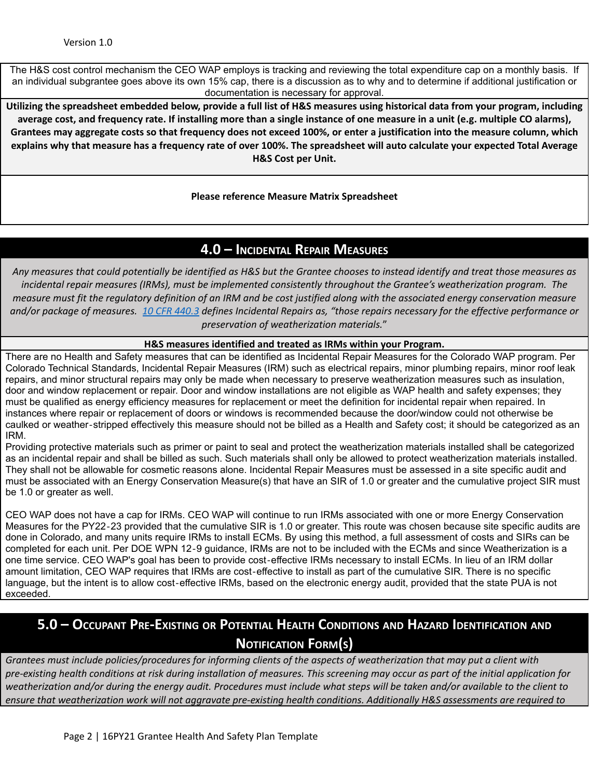The H&S cost control mechanism the CEO WAP employs is tracking and reviewing the total expenditure cap on a monthly basis. If an individual subgrantee goes above its own 15% cap, there is a discussion as to why and to determine if additional justification or documentation is necessary for approval.

Utilizing the spreadsheet embedded below, provide a full list of H&S measures using historical data from your program, including average cost, and frequency rate. If installing more than a single instance of one measure in a unit (e.g. multiple CO alarms), Grantees may aggregate costs so that frequency does not exceed 100%, or enter a justification into the measure column, which explains why that measure has a frequency rate of over 100%. The spreadsheet will auto calculate your expected Total Average **H&S Cost per Unit.**

**Please reference Measure Matrix Spreadsheet**

# **4.0 – INCIDENTAL REPAIR MEASURES**

Any measures that could potentially be identified as H&S but the Grantee chooses to instead identify and treat those measures as *incidental repair measures (IRMs), must be implemented consistently throughout the Grantee's weatherization program. The* measure must fit the regulatory definition of an IRM and be cost justified along with the associated energy conservation measure and/or package of measures. 10 CFR [440.3](https://www.ecfr.gov/cgi-bin/text-idx?SID=f022d7020e1bf0a19a73d6edb7c32f62&mc=true&node=pt10.3.440&rgn=div5#se10.3.440_13) defines Incidental Repairs as, "those repairs necessary for the effective performance or *preservation of weatherization materials.*"

#### **H&S measures identified and treated as IRMs within your Program.**

There are no Health and Safety measures that can be identified as Incidental Repair Measures for the Colorado WAP program. Per Colorado Technical Standards, Incidental Repair Measures (IRM) such as electrical repairs, minor plumbing repairs, minor roof leak repairs, and minor structural repairs may only be made when necessary to preserve weatherization measures such as insulation, door and window replacement or repair. Door and window installations are not eligible as WAP health and safety expenses; they must be qualified as energy efficiency measures for replacement or meet the definition for incidental repair when repaired. In instances where repair or replacement of doors or windows is recommended because the door/window could not otherwise be caulked or weather‐stripped effectively this measure should not be billed as a Health and Safety cost; it should be categorized as an IRM.

Providing protective materials such as primer or paint to seal and protect the weatherization materials installed shall be categorized as an incidental repair and shall be billed as such. Such materials shall only be allowed to protect weatherization materials installed. They shall not be allowable for cosmetic reasons alone. Incidental Repair Measures must be assessed in a site specific audit and must be associated with an Energy Conservation Measure(s) that have an SIR of 1.0 or greater and the cumulative project SIR must be 1.0 or greater as well.

CEO WAP does not have a cap for IRMs. CEO WAP will continue to run IRMs associated with one or more Energy Conservation Measures for the PY22‐23 provided that the cumulative SIR is 1.0 or greater. This route was chosen because site specific audits are done in Colorado, and many units require IRMs to install ECMs. By using this method, a full assessment of costs and SIRs can be completed for each unit. Per DOE WPN 12‐9 guidance, IRMs are not to be included with the ECMs and since Weatherization is a one time service. CEO WAP's goal has been to provide cost‐effective IRMs necessary to install ECMs. In lieu of an IRM dollar amount limitation, CEO WAP requires that IRMs are cost‐effective to install as part of the cumulative SIR. There is no specific language, but the intent is to allow cost‐effective IRMs, based on the electronic energy audit, provided that the state PUA is not exceeded.

# 5.0 – Occupant Pre-Existing or Potential Health Conditions and Hazard Identification and **NOTIFICATION FORM(S)**

Grantees must include policies/procedures for informing clients of the aspects of weatherization that may put a client with pre-existing health conditions at risk during installation of measures. This screening may occur as part of the initial application for weatherization and/or during the energy audit. Procedures must include what steps will be taken and/or available to the client to ensure that weatherization work will not aggravate pre-existing health conditions. Additionally H&S assessments are required to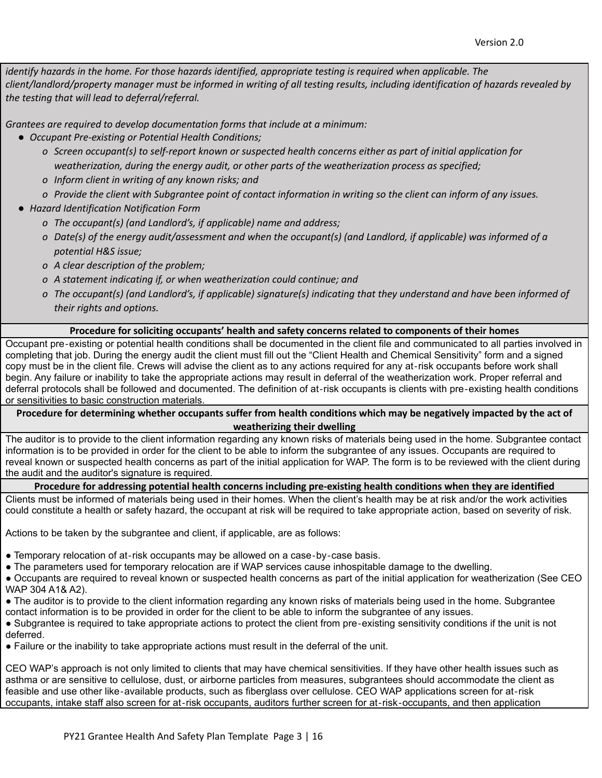*identify hazards in the home. For those hazards identified, appropriate testing is required when applicable. The* client/landlord/property manager must be informed in writing of all testing results, including identification of hazards revealed by *the testing that will lead to deferral/referral.*

*Grantees are required to develop documentation forms that include at a minimum:*

- *● Occupant Pre-existing or Potential Health Conditions;*
	- o Screen occupant(s) to self-report known or suspected health concerns either as part of initial application for *weatherization, during the energy audit, or other parts of the weatherization process as specified;*
	- *o Inform client in writing of any known risks; and*
	- o Provide the client with Subarantee point of contact information in writing so the client can inform of any issues.
- *● Hazard Identification Notification Form*
	- *o The occupant(s) (and Landlord's, if applicable) name and address;*
	- o Date(s) of the energy audit/assessment and when the occupant(s) (and Landlord, if applicable) was informed of a *potential H&S issue;*
	- *o A clear description of the problem;*
	- *o A statement indicating if, or when weatherization could continue; and*
	- o The occupant(s) (and Landlord's, if applicable) signature(s) indicating that they understand and have been informed of *their rights and options.*

#### **Procedure for soliciting occupants' health and safety concerns related to components of their homes**

Occupant pre‐existing or potential health conditions shall be documented in the client file and communicated to all parties involved in completing that job. During the energy audit the client must fill out the "Client Health and Chemical Sensitivity" form and a signed copy must be in the client file. Crews will advise the client as to any actions required for any at‐risk occupants before work shall begin. Any failure or inability to take the appropriate actions may result in deferral of the weatherization work. Proper referral and deferral protocols shall be followed and documented. The definition of at‐risk occupants is clients with pre‐existing health conditions or sensitivities to basic construction materials.

Procedure for determining whether occupants suffer from health conditions which may be negatively impacted by the act of **weatherizing their dwelling**

The auditor is to provide to the client information regarding any known risks of materials being used in the home. Subgrantee contact information is to be provided in order for the client to be able to inform the subgrantee of any issues. Occupants are required to reveal known or suspected health concerns as part of the initial application for WAP. The form is to be reviewed with the client during the audit and the auditor's signature is required.

# **Procedure for addressing potential health concerns including pre-existing health conditions when they are identified**

Clients must be informed of materials being used in their homes. When the client's health may be at risk and/or the work activities could constitute a health or safety hazard, the occupant at risk will be required to take appropriate action, based on severity of risk.

Actions to be taken by the subgrantee and client, if applicable, are as follows:

- Temporary relocation of at-risk occupants may be allowed on a case-by-case basis.
- The parameters used for temporary relocation are if WAP services cause inhospitable damage to the dwelling.

● Occupants are required to reveal known or suspected health concerns as part of the initial application for weatherization (See CEO WAP 304 A1& A2).

- The auditor is to provide to the client information regarding any known risks of materials being used in the home. Subgrantee
- contact information is to be provided in order for the client to be able to inform the subgrantee of any issues.

● Subgrantee is required to take appropriate actions to protect the client from pre-existing sensitivity conditions if the unit is not deferred.

● Failure or the inability to take appropriate actions must result in the deferral of the unit.

CEO WAP's approach is not only limited to clients that may have chemical sensitivities. If they have other health issues such as asthma or are sensitive to cellulose, dust, or airborne particles from measures, subgrantees should accommodate the client as feasible and use other like‐available products, such as fiberglass over cellulose. CEO WAP applications screen for at‐risk occupants, intake staff also screen for at‐risk occupants, auditors further screen for at‐risk‐occupants, and then application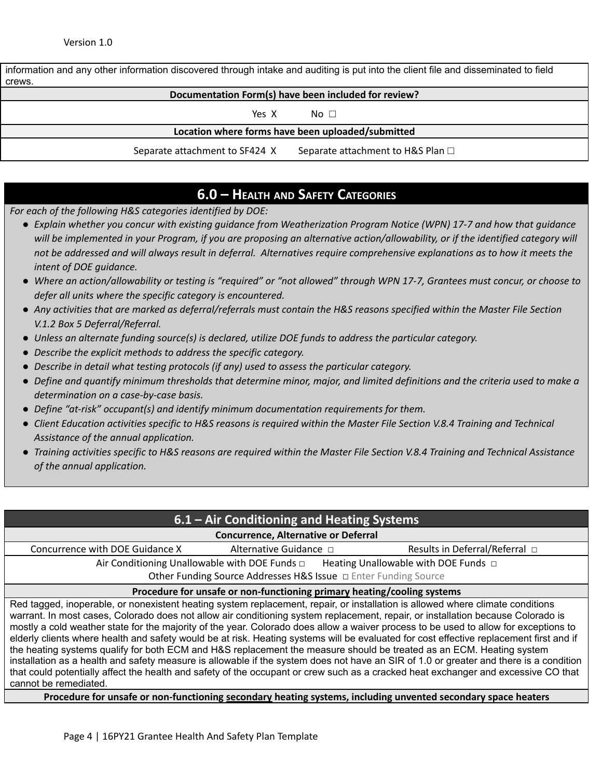information and any other information discovered through intake and auditing is put into the client file and disseminated to field crews. **Documentation Form(s) have been included for review?** Yes X No □ **Location where forms have been uploaded/submitted**

Separate attachment to SF424 X Separate attachment to H&S Plan  $\Box$ 

# **6.0 – HEALTH AND SAFETY CATEGORIES**

*For each of the following H&S categories identified by DOE:*

- Explain whether you concur with existing quidance from Weatherization Program Notice (WPN) 17-7 and how that quidance will be implemented in your Program, if you are proposing an alternative action/allowability, or if the identified category will not be addressed and will always result in deferral. Alternatives require comprehensive explanations as to how it meets the *intent of DOE guidance.*
- Where an action/allowability or testing is "required" or "not allowed" through WPN 17-7, Grantees must concur, or choose to *defer all units where the specific category is encountered.*
- Any activities that are marked as deferral/referrals must contain the H&S reasons specified within the Master File Section *V.1.2 Box 5 Deferral/Referral.*
- *● Unless an alternate funding source(s) is declared, utilize DOE funds to address the particular category.*
- *● Describe the explicit methods to address the specific category.*
- *● Describe in detail what testing protocols (if any) used to assess the particular category.*
- Define and quantify minimum thresholds that determine minor, major, and limited definitions and the criteria used to make a *determination on a case-by-case basis.*
- *● Define "at-risk" occupant(s) and identify minimum documentation requirements for them.*
- Client Education activities specific to H&S reasons is required within the Master File Section V.8.4 Training and Technical *Assistance of the annual application.*
- Training activities specific to H&S reasons are required within the Master File Section V.8.4 Training and Technical Assistance *of the annual application.*

### **6.1 – Air Conditioning and Heating Systems**

#### **Concurrence, Alternative or Deferral**

Concurrence with DOE Guidance X Alternative Guidance □ Results in Deferral/Referral □

Air Conditioning Unallowable with DOE Funds □ Heating Unallowable with DOE Funds □

Other Funding Source Addresses H&S Issue □ Enter Funding Source

#### **Procedure for unsafe or non-functioning primary heating/cooling systems**

Red tagged, inoperable, or nonexistent heating system replacement, repair, or installation is allowed where climate conditions warrant. In most cases, Colorado does not allow air conditioning system replacement, repair, or installation because Colorado is mostly a cold weather state for the majority of the year. Colorado does allow a waiver process to be used to allow for exceptions to elderly clients where health and safety would be at risk. Heating systems will be evaluated for cost effective replacement first and if the heating systems qualify for both ECM and H&S replacement the measure should be treated as an ECM. Heating system installation as a health and safety measure is allowable if the system does not have an SIR of 1.0 or greater and there is a condition that could potentially affect the health and safety of the occupant or crew such as a cracked heat exchanger and excessive CO that cannot be remediated.

**Procedure for unsafe or non-functioning secondary heating systems, including unvented secondary space heaters**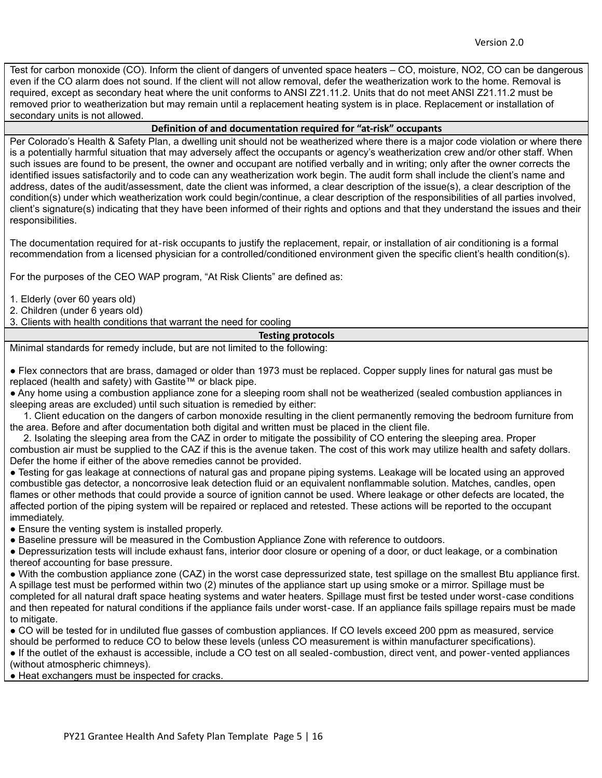Test for carbon monoxide (CO). Inform the client of dangers of unvented space heaters – CO, moisture, NO2, CO can be dangerous even if the CO alarm does not sound. If the client will not allow removal, defer the weatherization work to the home. Removal is required, except as secondary heat where the unit conforms to ANSI Z21.11.2. Units that do not meet ANSI Z21.11.2 must be removed prior to weatherization but may remain until a replacement heating system is in place. Replacement or installation of secondary units is not allowed.

#### **Definition of and documentation required for "at-risk" occupants**

Per Colorado's Health & Safety Plan, a dwelling unit should not be weatherized where there is a major code violation or where there is a potentially harmful situation that may adversely affect the occupants or agency's weatherization crew and/or other staff. When such issues are found to be present, the owner and occupant are notified verbally and in writing; only after the owner corrects the identified issues satisfactorily and to code can any weatherization work begin. The audit form shall include the client's name and address, dates of the audit/assessment, date the client was informed, a clear description of the issue(s), a clear description of the condition(s) under which weatherization work could begin/continue, a clear description of the responsibilities of all parties involved, client's signature(s) indicating that they have been informed of their rights and options and that they understand the issues and their responsibilities.

The documentation required for at‐risk occupants to justify the replacement, repair, or installation of air conditioning is a formal recommendation from a licensed physician for a controlled/conditioned environment given the specific client's health condition(s).

For the purposes of the CEO WAP program, "At Risk Clients" are defined as:

1. Elderly (over 60 years old)

2. Children (under 6 years old)

3. Clients with health conditions that warrant the need for cooling

#### **Testing protocols**

Minimal standards for remedy include, but are not limited to the following:

● Flex connectors that are brass, damaged or older than 1973 must be replaced. Copper supply lines for natural gas must be replaced (health and safety) with Gastite™ or black pipe.

● Any home using a combustion appliance zone for a sleeping room shall not be weatherized (sealed combustion appliances in sleeping areas are excluded) until such situation is remedied by either:

1. Client education on the dangers of carbon monoxide resulting in the client permanently removing the bedroom furniture from the area. Before and after documentation both digital and written must be placed in the client file.

2. Isolating the sleeping area from the CAZ in order to mitigate the possibility of CO entering the sleeping area. Proper combustion air must be supplied to the CAZ if this is the avenue taken. The cost of this work may utilize health and safety dollars. Defer the home if either of the above remedies cannot be provided.

● Testing for gas leakage at connections of natural gas and propane piping systems. Leakage will be located using an approved combustible gas detector, a noncorrosive leak detection fluid or an equivalent nonflammable solution. Matches, candles, open flames or other methods that could provide a source of ignition cannot be used. Where leakage or other defects are located, the affected portion of the piping system will be repaired or replaced and retested. These actions will be reported to the occupant immediately.

• Ensure the venting system is installed properly.

● Baseline pressure will be measured in the Combustion Appliance Zone with reference to outdoors.

● Depressurization tests will include exhaust fans, interior door closure or opening of a door, or duct leakage, or a combination thereof accounting for base pressure.

● With the combustion appliance zone (CAZ) in the worst case depressurized state, test spillage on the smallest Btu appliance first. A spillage test must be performed within two (2) minutes of the appliance start up using smoke or a mirror. Spillage must be completed for all natural draft space heating systems and water heaters. Spillage must first be tested under worst‐case conditions and then repeated for natural conditions if the appliance fails under worst‐case. If an appliance fails spillage repairs must be made to mitigate.

● CO will be tested for in undiluted flue gasses of combustion appliances. If CO levels exceed 200 ppm as measured, service should be performed to reduce CO to below these levels (unless CO measurement is within manufacturer specifications).

● If the outlet of the exhaust is accessible, include a CO test on all sealed-combustion, direct vent, and power-vented appliances (without atmospheric chimneys).

● Heat exchangers must be inspected for cracks.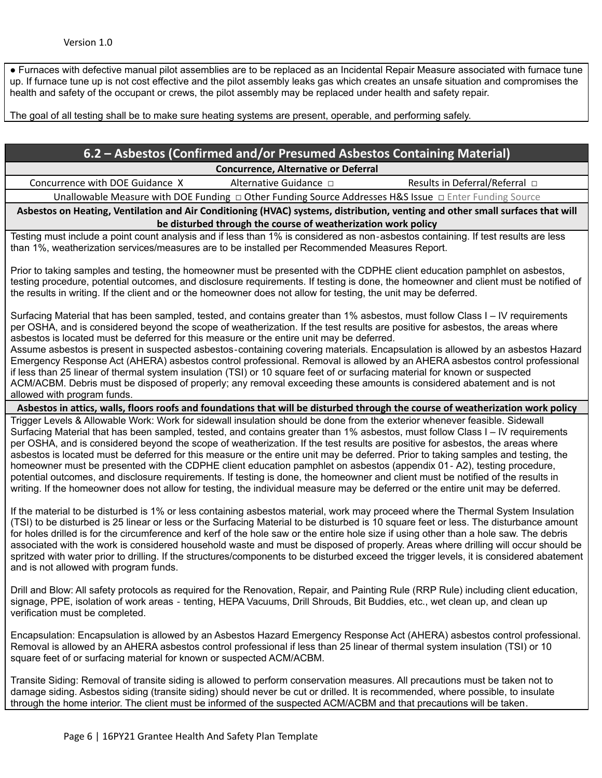● Furnaces with defective manual pilot assemblies are to be replaced as an Incidental Repair Measure associated with furnace tune up. If furnace tune up is not cost effective and the pilot assembly leaks gas which creates an unsafe situation and compromises the health and safety of the occupant or crews, the pilot assembly may be replaced under health and safety repair.

The goal of all testing shall be to make sure heating systems are present, operable, and performing safely.

| 6.2 – Asbestos (Confirmed and/or Presumed Asbestos Containing Material) |
|-------------------------------------------------------------------------|
| Concurrence Alternative or Deferred                                     |

**Concurrence, Alternative or Deferral**

Concurrence with DOE Guidance X Alternative Guidance □ Results in Deferral/Referral □

Unallowable Measure with DOE Funding □ Other Funding Source Addresses H&S Issue □ Enter Funding Source

Asbestos on Heating, Ventilation and Air Conditioning (HVAC) systems, distribution, venting and other small surfaces that will **be disturbed through the course of weatherization work policy**

Testing must include a point count analysis and if less than 1% is considered as non‐asbestos containing. If test results are less than 1%, weatherization services/measures are to be installed per Recommended Measures Report.

Prior to taking samples and testing, the homeowner must be presented with the CDPHE client education pamphlet on asbestos, testing procedure, potential outcomes, and disclosure requirements. If testing is done, the homeowner and client must be notified of the results in writing. If the client and or the homeowner does not allow for testing, the unit may be deferred.

Surfacing Material that has been sampled, tested, and contains greater than 1% asbestos, must follow Class I – IV requirements per OSHA, and is considered beyond the scope of weatherization. If the test results are positive for asbestos, the areas where asbestos is located must be deferred for this measure or the entire unit may be deferred.

Assume asbestos is present in suspected asbestos‐containing covering materials. Encapsulation is allowed by an asbestos Hazard Emergency Response Act (AHERA) asbestos control professional. Removal is allowed by an AHERA asbestos control professional if less than 25 linear of thermal system insulation (TSI) or 10 square feet of or surfacing material for known or suspected ACM/ACBM. Debris must be disposed of properly; any removal exceeding these amounts is considered abatement and is not allowed with program funds.

Asbestos in attics, walls, floors roofs and foundations that will be disturbed through the course of weatherization work policy

Trigger Levels & Allowable Work: Work for sidewall insulation should be done from the exterior whenever feasible. Sidewall Surfacing Material that has been sampled, tested, and contains greater than 1% asbestos, must follow Class I – IV requirements per OSHA, and is considered beyond the scope of weatherization. If the test results are positive for asbestos, the areas where asbestos is located must be deferred for this measure or the entire unit may be deferred. Prior to taking samples and testing, the homeowner must be presented with the CDPHE client education pamphlet on asbestos (appendix 01-A2), testing procedure, potential outcomes, and disclosure requirements. If testing is done, the homeowner and client must be notified of the results in writing. If the homeowner does not allow for testing, the individual measure may be deferred or the entire unit may be deferred.

If the material to be disturbed is 1% or less containing asbestos material, work may proceed where the Thermal System Insulation (TSI) to be disturbed is 25 linear or less or the Surfacing Material to be disturbed is 10 square feet or less. The disturbance amount for holes drilled is for the circumference and kerf of the hole saw or the entire hole size if using other than a hole saw. The debris associated with the work is considered household waste and must be disposed of properly. Areas where drilling will occur should be spritzed with water prior to drilling. If the structures/components to be disturbed exceed the trigger levels, it is considered abatement and is not allowed with program funds.

Drill and Blow: All safety protocols as required for the Renovation, Repair, and Painting Rule (RRP Rule) including client education, signage, PPE, isolation of work areas ‐ tenting, HEPA Vacuums, Drill Shrouds, Bit Buddies, etc., wet clean up, and clean up verification must be completed.

Encapsulation: Encapsulation is allowed by an Asbestos Hazard Emergency Response Act (AHERA) asbestos control professional. Removal is allowed by an AHERA asbestos control professional if less than 25 linear of thermal system insulation (TSI) or 10 square feet of or surfacing material for known or suspected ACM/ACBM.

Transite Siding: Removal of transite siding is allowed to perform conservation measures. All precautions must be taken not to damage siding. Asbestos siding (transite siding) should never be cut or drilled. It is recommended, where possible, to insulate through the home interior. The client must be informed of the suspected ACM/ACBM and that precautions will be taken.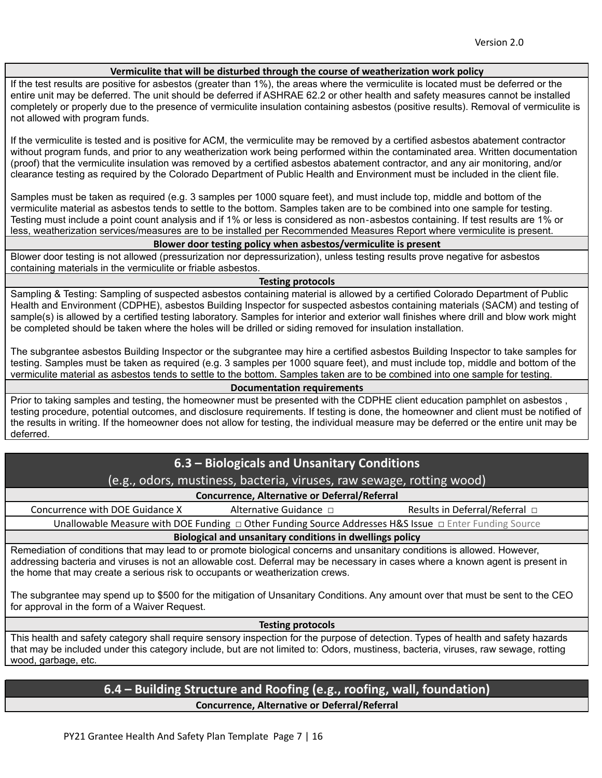#### **Vermiculite that will be disturbed through the course of weatherization work policy**

If the test results are positive for asbestos (greater than 1%), the areas where the vermiculite is located must be deferred or the entire unit may be deferred. The unit should be deferred if ASHRAE 62.2 or other health and safety measures cannot be installed completely or properly due to the presence of vermiculite insulation containing asbestos (positive results). Removal of vermiculite is not allowed with program funds.

If the vermiculite is tested and is positive for ACM, the vermiculite may be removed by a certified asbestos abatement contractor without program funds, and prior to any weatherization work being performed within the contaminated area. Written documentation (proof) that the vermiculite insulation was removed by a certified asbestos abatement contractor, and any air monitoring, and/or clearance testing as required by the Colorado Department of Public Health and Environment must be included in the client file.

Samples must be taken as required (e.g. 3 samples per 1000 square feet), and must include top, middle and bottom of the vermiculite material as asbestos tends to settle to the bottom. Samples taken are to be combined into one sample for testing. Testing must include a point count analysis and if 1% or less is considered as non‐asbestos containing. If test results are 1% or less, weatherization services/measures are to be installed per Recommended Measures Report where vermiculite is present.

#### **Blower door testing policy when asbestos/vermiculite is present**

Blower door testing is not allowed (pressurization nor depressurization), unless testing results prove negative for asbestos containing materials in the vermiculite or friable asbestos.

#### **Testing protocols**

Sampling & Testing: Sampling of suspected asbestos containing material is allowed by a certified Colorado Department of Public Health and Environment (CDPHE), asbestos Building Inspector for suspected asbestos containing materials (SACM) and testing of sample(s) is allowed by a certified testing laboratory. Samples for interior and exterior wall finishes where drill and blow work might be completed should be taken where the holes will be drilled or siding removed for insulation installation.

The subgrantee asbestos Building Inspector or the subgrantee may hire a certified asbestos Building Inspector to take samples for testing. Samples must be taken as required (e.g. 3 samples per 1000 square feet), and must include top, middle and bottom of the vermiculite material as asbestos tends to settle to the bottom. Samples taken are to be combined into one sample for testing.

#### **Documentation requirements**

Prior to taking samples and testing, the homeowner must be presented with the CDPHE client education pamphlet on asbestos, testing procedure, potential outcomes, and disclosure requirements. If testing is done, the homeowner and client must be notified of the results in writing. If the homeowner does not allow for testing, the individual measure may be deferred or the entire unit may be deferred.

# **6.3 – Biologicals and Unsanitary Conditions**

# (e.g., odors, mustiness, bacteria, viruses, raw sewage, rotting wood)

# **Concurrence, Alternative or Deferral/Referral**

Concurrence with DOE Guidance X Alternative Guidance  $\Box$  Results in Deferral/Referral  $\Box$ 

Unallowable Measure with DOE Funding □ Other Funding Source Addresses H&S Issue □ Enter Funding Source

### **Biological and unsanitary conditions in dwellings policy**

Remediation of conditions that may lead to or promote biological concerns and unsanitary conditions is allowed. However, addressing bacteria and viruses is not an allowable cost. Deferral may be necessary in cases where a known agent is present in the home that may create a serious risk to occupants or weatherization crews.

The subgrantee may spend up to \$500 for the mitigation of Unsanitary Conditions. Any amount over that must be sent to the CEO for approval in the form of a Waiver Request.

**Testing protocols**

This health and safety category shall require sensory inspection for the purpose of detection. Types of health and safety hazards that may be included under this category include, but are not limited to: Odors, mustiness, bacteria, viruses, raw sewage, rotting wood, garbage, etc.

# **6.4 – Building Structure and Roofing (e.g., roofing, wall, foundation) Concurrence, Alternative or Deferral/Referral**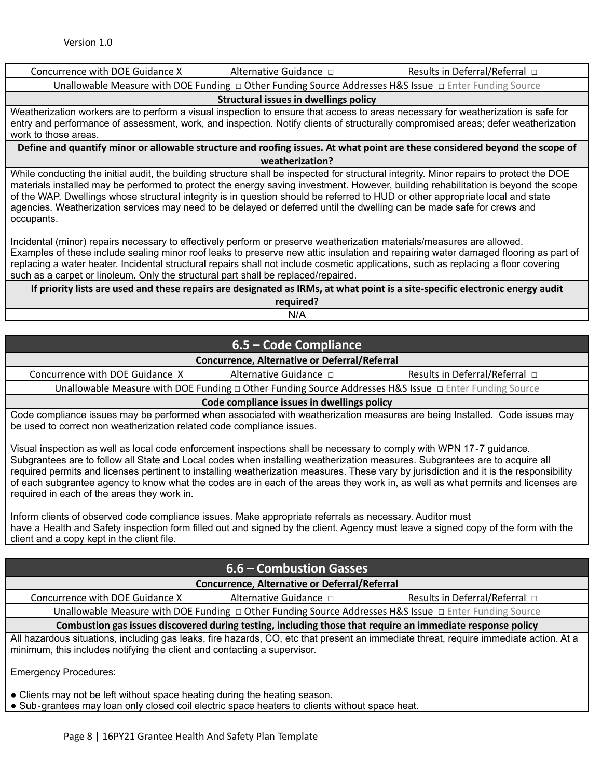| Concurrence with DOE Guidance X                                                                                                                                                                                                                                                                                                                                                                                                                                                            | Alternative Guidance $\Box$ | Results in Deferral/Referral $\Box$                                                                                                                                                                                                                                            |  |
|--------------------------------------------------------------------------------------------------------------------------------------------------------------------------------------------------------------------------------------------------------------------------------------------------------------------------------------------------------------------------------------------------------------------------------------------------------------------------------------------|-----------------------------|--------------------------------------------------------------------------------------------------------------------------------------------------------------------------------------------------------------------------------------------------------------------------------|--|
|                                                                                                                                                                                                                                                                                                                                                                                                                                                                                            |                             | Unallowable Measure with DOE Funding $\Box$ Other Funding Source Addresses H&S Issue $\Box$ Enter Funding Source                                                                                                                                                               |  |
| Structural issues in dwellings policy                                                                                                                                                                                                                                                                                                                                                                                                                                                      |                             |                                                                                                                                                                                                                                                                                |  |
| work to those areas.                                                                                                                                                                                                                                                                                                                                                                                                                                                                       |                             | Weatherization workers are to perform a visual inspection to ensure that access to areas necessary for weatherization is safe for<br>entry and performance of assessment, work, and inspection. Notify clients of structurally compromised areas; defer weatherization         |  |
|                                                                                                                                                                                                                                                                                                                                                                                                                                                                                            |                             | Define and quantify minor or allowable structure and roofing issues. At what point are these considered beyond the scope of                                                                                                                                                    |  |
|                                                                                                                                                                                                                                                                                                                                                                                                                                                                                            | weatherization?             |                                                                                                                                                                                                                                                                                |  |
| of the WAP. Dwellings whose structural integrity is in question should be referred to HUD or other appropriate local and state<br>agencies. Weatherization services may need to be delayed or deferred until the dwelling can be made safe for crews and<br>occupants.                                                                                                                                                                                                                     |                             | While conducting the initial audit, the building structure shall be inspected for structural integrity. Minor repairs to protect the DOE<br>materials installed may be performed to protect the energy saving investment. However, building rehabilitation is beyond the scope |  |
| Incidental (minor) repairs necessary to effectively perform or preserve weatherization materials/measures are allowed.<br>Examples of these include sealing minor roof leaks to preserve new attic insulation and repairing water damaged flooring as part of<br>replacing a water heater. Incidental structural repairs shall not include cosmetic applications, such as replacing a floor covering<br>such as a carpet or linoleum. Only the structural part shall be replaced/repaired. |                             |                                                                                                                                                                                                                                                                                |  |
| If priority lists are used and these repairs are designated as IRMs, at what point is a site-specific electronic energy audit                                                                                                                                                                                                                                                                                                                                                              |                             |                                                                                                                                                                                                                                                                                |  |
|                                                                                                                                                                                                                                                                                                                                                                                                                                                                                            | required?                   |                                                                                                                                                                                                                                                                                |  |
|                                                                                                                                                                                                                                                                                                                                                                                                                                                                                            | N/A                         |                                                                                                                                                                                                                                                                                |  |

# **6.5 – Code Compliance Concurrence, Alternative or Deferral/Referral** Concurrence with DOE Guidance X Alternative Guidance □ Results in Deferral/Referral □ Unallowable Measure with DOE Funding □ Other Funding Source Addresses H&S Issue □ Enter Funding Source **Code compliance issues in dwellings policy**

Code compliance issues may be performed when associated with weatherization measures are being Installed. Code issues may be used to correct non weatherization related code compliance issues.

Visual inspection as well as local code enforcement inspections shall be necessary to comply with WPN 17‐7 guidance. Subgrantees are to follow all State and Local codes when installing weatherization measures. Subgrantees are to acquire all required permits and licenses pertinent to installing weatherization measures. These vary by jurisdiction and it is the responsibility of each subgrantee agency to know what the codes are in each of the areas they work in, as well as what permits and licenses are required in each of the areas they work in.

Inform clients of observed code compliance issues. Make appropriate referrals as necessary. Auditor must have a Health and Safety inspection form filled out and signed by the client. Agency must leave a signed copy of the form with the client and a copy kept in the client file.

# **6.6 – Combustion Gasses**

**Concurrence, Alternative or Deferral/Referral**

Concurrence with DOE Guidance X Alternative Guidance □ Results in Deferral/Referral □

Unallowable Measure with DOE Funding □ Other Funding Source Addresses H&S Issue □ Enter Funding Source

**Combustion gas issues discovered during testing, including those that require an immediate response policy** All hazardous situations, including gas leaks, fire hazards, CO, etc that present an immediate threat, require immediate action. At a minimum, this includes notifying the client and contacting a supervisor.

Emergency Procedures:

• Clients may not be left without space heating during the heating season.

● Sub-grantees may loan only closed coil electric space heaters to clients without space heat.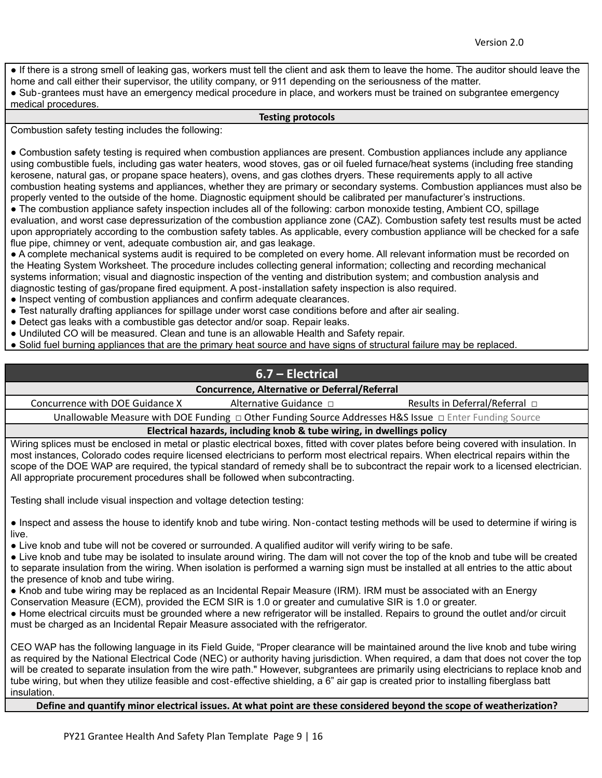● If there is a strong smell of leaking gas, workers must tell the client and ask them to leave the home. The auditor should leave the home and call either their supervisor, the utility company, or 911 depending on the seriousness of the matter.

● Sub‐grantees must have an emergency medical procedure in place, and workers must be trained on subgrantee emergency medical procedures.

#### **Testing protocols**

Combustion safety testing includes the following:

● Combustion safety testing is required when combustion appliances are present. Combustion appliances include any appliance using combustible fuels, including gas water heaters, wood stoves, gas or oil fueled furnace/heat systems (including free standing kerosene, natural gas, or propane space heaters), ovens, and gas clothes dryers. These requirements apply to all active combustion heating systems and appliances, whether they are primary or secondary systems. Combustion appliances must also be properly vented to the outside of the home. Diagnostic equipment should be calibrated per manufacturer's instructions.

• The combustion appliance safety inspection includes all of the following: carbon monoxide testing, Ambient CO, spillage evaluation, and worst case depressurization of the combustion appliance zone (CAZ). Combustion safety test results must be acted upon appropriately according to the combustion safety tables. As applicable, every combustion appliance will be checked for a safe flue pipe, chimney or vent, adequate combustion air, and gas leakage.

● A complete mechanical systems audit is required to be completed on every home. All relevant information must be recorded on the Heating System Worksheet. The procedure includes collecting general information; collecting and recording mechanical systems information; visual and diagnostic inspection of the venting and distribution system; and combustion analysis and diagnostic testing of gas/propane fired equipment. A post‐installation safety inspection is also required.

- Inspect venting of combustion appliances and confirm adequate clearances.
- Test naturally drafting appliances for spillage under worst case conditions before and after air sealing.
- Detect gas leaks with a combustible gas detector and/or soap. Repair leaks.
- Undiluted CO will be measured. Clean and tune is an allowable Health and Safety repair.
- Solid fuel burning appliances that are the primary heat source and have signs of structural failure may be replaced.

# **6.7 – Electrical**

#### **Concurrence, Alternative or Deferral/Referral**

Concurrence with DOE Guidance X Alternative Guidance □ Results in Deferral/Referral □ Unallowable Measure with DOE Funding □ Other Funding Source Addresses H&S Issue □ Enter Funding Source

**Electrical hazards, including knob & tube wiring, in dwellings policy**

Wiring splices must be enclosed in metal or plastic electrical boxes, fitted with cover plates before being covered with insulation. In most instances, Colorado codes require licensed electricians to perform most electrical repairs. When electrical repairs within the scope of the DOE WAP are required, the typical standard of remedy shall be to subcontract the repair work to a licensed electrician. All appropriate procurement procedures shall be followed when subcontracting.

Testing shall include visual inspection and voltage detection testing:

● Inspect and assess the house to identify knob and tube wiring. Non-contact testing methods will be used to determine if wiring is live.

● Live knob and tube will not be covered or surrounded. A qualified auditor will verify wiring to be safe.

● Live knob and tube may be isolated to insulate around wiring. The dam will not cover the top of the knob and tube will be created to separate insulation from the wiring. When isolation is performed a warning sign must be installed at all entries to the attic about the presence of knob and tube wiring.

● Knob and tube wiring may be replaced as an Incidental Repair Measure (IRM). IRM must be associated with an Energy

Conservation Measure (ECM), provided the ECM SIR is 1.0 or greater and cumulative SIR is 1.0 or greater.

● Home electrical circuits must be grounded where a new refrigerator will be installed. Repairs to ground the outlet and/or circuit must be charged as an Incidental Repair Measure associated with the refrigerator.

CEO WAP has the following language in its Field Guide, "Proper clearance will be maintained around the live knob and tube wiring as required by the National Electrical Code (NEC) or authority having jurisdiction. When required, a dam that does not cover the top will be created to separate insulation from the wire path." However, subgrantees are primarily using electricians to replace knob and tube wiring, but when they utilize feasible and cost‐effective shielding, a 6" air gap is created prior to installing fiberglass batt insulation.

#### Define and quantify minor electrical issues. At what point are these considered beyond the scope of weatherization?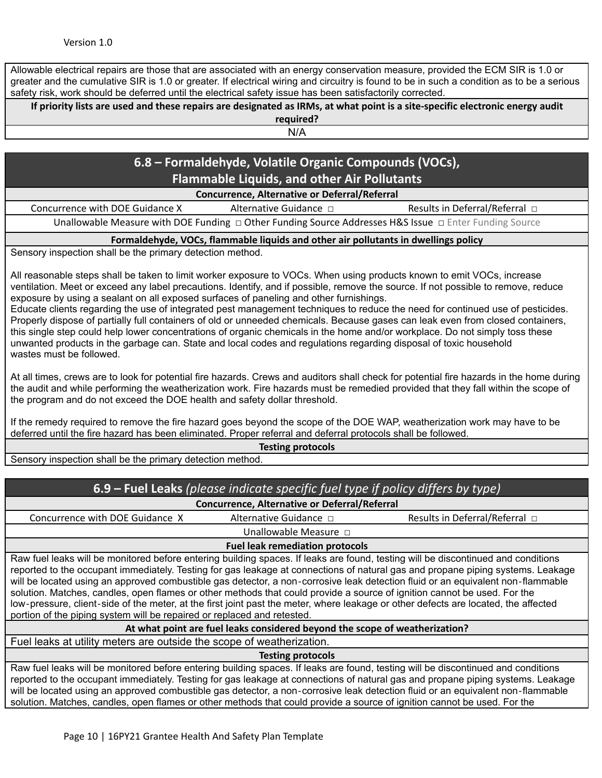Allowable electrical repairs are those that are associated with an energy conservation measure, provided the ECM SIR is 1.0 or greater and the cumulative SIR is 1.0 or greater. If electrical wiring and circuitry is found to be in such a condition as to be a serious safety risk, work should be deferred until the electrical safety issue has been satisfactorily corrected.

If priority lists are used and these repairs are designated as IRMs, at what point is a site-specific electronic energy audit **required?**

N/A

# **6.8 – Formaldehyde, Volatile Organic Compounds (VOCs), Flammable Liquids, and other Air Pollutants**

**Concurrence, Alternative or Deferral/Referral**

Concurrence with DOE Guidance X Alternative Guidance □ Results in Deferral/Referral □ Unallowable Measure with DOE Funding □ Other Funding Source Addresses H&S Issue □ Enter Funding Source

#### **Formaldehyde, VOCs, flammable liquids and other air pollutants in dwellings policy**

Sensory inspection shall be the primary detection method.

All reasonable steps shall be taken to limit worker exposure to VOCs. When using products known to emit VOCs, increase ventilation. Meet or exceed any label precautions. Identify, and if possible, remove the source. If not possible to remove, reduce exposure by using a sealant on all exposed surfaces of paneling and other furnishings.

Educate clients regarding the use of integrated pest management techniques to reduce the need for continued use of pesticides. Properly dispose of partially full containers of old or unneeded chemicals. Because gases can leak even from closed containers, this single step could help lower concentrations of organic chemicals in the home and/or workplace. Do not simply toss these unwanted products in the garbage can. State and local codes and regulations regarding disposal of toxic household wastes must be followed.

At all times, crews are to look for potential fire hazards. Crews and auditors shall check for potential fire hazards in the home during the audit and while performing the weatherization work. Fire hazards must be remedied provided that they fall within the scope of the program and do not exceed the DOE health and safety dollar threshold.

If the remedy required to remove the fire hazard goes beyond the scope of the DOE WAP, weatherization work may have to be deferred until the fire hazard has been eliminated. Proper referral and deferral protocols shall be followed.

**Testing protocols**

Sensory inspection shall be the primary detection method.

| 6.9 – Fuel Leaks (please indicate specific fuel type if policy differs by type)                                                                                                                                                                                                                                                                                                                                                                                                                                                                                                                                                                                                                                                                       |                             |                                                                                                                                                                                                                                                                                                                                                                                                         |  |
|-------------------------------------------------------------------------------------------------------------------------------------------------------------------------------------------------------------------------------------------------------------------------------------------------------------------------------------------------------------------------------------------------------------------------------------------------------------------------------------------------------------------------------------------------------------------------------------------------------------------------------------------------------------------------------------------------------------------------------------------------------|-----------------------------|---------------------------------------------------------------------------------------------------------------------------------------------------------------------------------------------------------------------------------------------------------------------------------------------------------------------------------------------------------------------------------------------------------|--|
| <b>Concurrence, Alternative or Deferral/Referral</b>                                                                                                                                                                                                                                                                                                                                                                                                                                                                                                                                                                                                                                                                                                  |                             |                                                                                                                                                                                                                                                                                                                                                                                                         |  |
| Concurrence with DOE Guidance X                                                                                                                                                                                                                                                                                                                                                                                                                                                                                                                                                                                                                                                                                                                       | Alternative Guidance $\Box$ | Results in Deferral/Referral □                                                                                                                                                                                                                                                                                                                                                                          |  |
|                                                                                                                                                                                                                                                                                                                                                                                                                                                                                                                                                                                                                                                                                                                                                       | Unallowable Measure D       |                                                                                                                                                                                                                                                                                                                                                                                                         |  |
| <b>Fuel leak remediation protocols</b>                                                                                                                                                                                                                                                                                                                                                                                                                                                                                                                                                                                                                                                                                                                |                             |                                                                                                                                                                                                                                                                                                                                                                                                         |  |
| Raw fuel leaks will be monitored before entering building spaces. If leaks are found, testing will be discontinued and conditions<br>reported to the occupant immediately. Testing for gas leakage at connections of natural gas and propane piping systems. Leakage<br>will be located using an approved combustible gas detector, a non-corrosive leak detection fluid or an equivalent non-flammable<br>solution. Matches, candles, open flames or other methods that could provide a source of ignition cannot be used. For the<br>low-pressure, client-side of the meter, at the first joint past the meter, where leakage or other defects are located, the affected<br>portion of the piping system will be repaired or replaced and retested. |                             |                                                                                                                                                                                                                                                                                                                                                                                                         |  |
| At what point are fuel leaks considered beyond the scope of weatherization?                                                                                                                                                                                                                                                                                                                                                                                                                                                                                                                                                                                                                                                                           |                             |                                                                                                                                                                                                                                                                                                                                                                                                         |  |
| Fuel leaks at utility meters are outside the scope of weatherization.                                                                                                                                                                                                                                                                                                                                                                                                                                                                                                                                                                                                                                                                                 |                             |                                                                                                                                                                                                                                                                                                                                                                                                         |  |
| <b>Testing protocols</b>                                                                                                                                                                                                                                                                                                                                                                                                                                                                                                                                                                                                                                                                                                                              |                             |                                                                                                                                                                                                                                                                                                                                                                                                         |  |
| solution. Matches, candles, open flames or other methods that could provide a source of ignition cannot be used. For the                                                                                                                                                                                                                                                                                                                                                                                                                                                                                                                                                                                                                              |                             | Raw fuel leaks will be monitored before entering building spaces. If leaks are found, testing will be discontinued and conditions<br>reported to the occupant immediately. Testing for gas leakage at connections of natural gas and propane piping systems. Leakage<br>will be located using an approved combustible gas detector, a non-corrosive leak detection fluid or an equivalent non-flammable |  |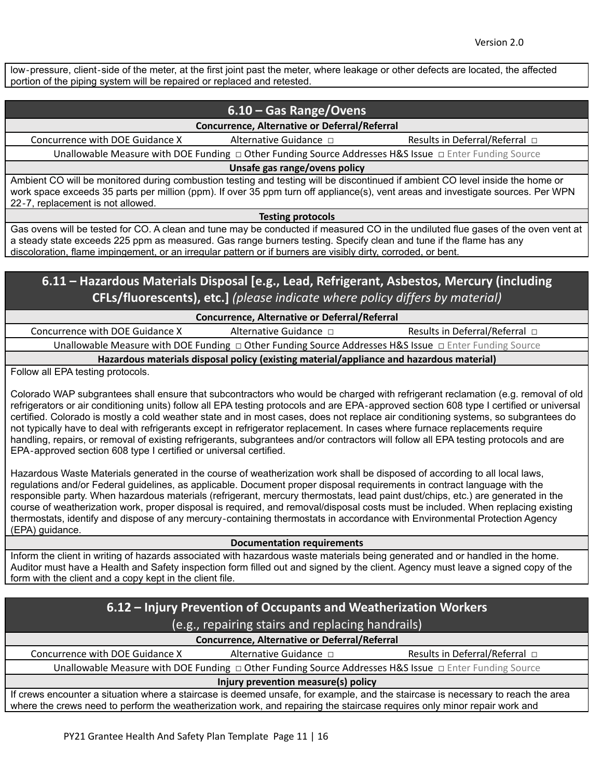low‐pressure, client‐side of the meter, at the first joint past the meter, where leakage or other defects are located, the affected portion of the piping system will be repaired or replaced and retested.

# **6.10 – Gas Range/Ovens**

**Concurrence, Alternative or Deferral/Referral**

Concurrence with DOE Guidance X Alternative Guidance □ Results in Deferral/Referral □

Unallowable Measure with DOE Funding □ Other Funding Source Addresses H&S Issue □ Enter Funding Source

**Unsafe gas range/ovens policy**

Ambient CO will be monitored during combustion testing and testing will be discontinued if ambient CO level inside the home or work space exceeds 35 parts per million (ppm). If over 35 ppm turn off appliance(s), vent areas and investigate sources. Per WPN 22‐7, replacement is not allowed.

**Testing protocols**

Gas ovens will be tested for CO. A clean and tune may be conducted if measured CO in the undiluted flue gases of the oven vent at a steady state exceeds 225 ppm as measured. Gas range burners testing. Specify clean and tune if the flame has any discoloration, flame impingement, or an irregular pattern or if burners are visibly dirty, corroded, or bent.

# **6.11 – Hazardous Materials Disposal [e.g., Lead, Refrigerant, Asbestos, Mercury (including CFLs/fluorescents), etc.]** *(please indicate where policy differs by material)*

**Concurrence, Alternative or Deferral/Referral**

Concurrence with DOE Guidance X Alternative Guidance  $\Box$  Results in Deferral/Referral  $\Box$ Unallowable Measure with DOE Funding □ Other Funding Source Addresses H&S Issue □ Enter Funding Source **Hazardous materials disposal policy (existing material/appliance and hazardous material)**

Follow all EPA testing protocols.

Colorado WAP subgrantees shall ensure that subcontractors who would be charged with refrigerant reclamation (e.g. removal of old refrigerators or air conditioning units) follow all EPA testing protocols and are EPA‐approved section 608 type I certified or universal certified. Colorado is mostly a cold weather state and in most cases, does not replace air conditioning systems, so subgrantees do not typically have to deal with refrigerants except in refrigerator replacement. In cases where furnace replacements require handling, repairs, or removal of existing refrigerants, subgrantees and/or contractors will follow all EPA testing protocols and are EPA‐approved section 608 type I certified or universal certified.

Hazardous Waste Materials generated in the course of weatherization work shall be disposed of according to all local laws, regulations and/or Federal guidelines, as applicable. Document proper disposal requirements in contract language with the responsible party. When hazardous materials (refrigerant, mercury thermostats, lead paint dust/chips, etc.) are generated in the course of weatherization work, proper disposal is required, and removal/disposal costs must be included. When replacing existing thermostats, identify and dispose of any mercury‐containing thermostats in accordance with Environmental Protection Agency (EPA) guidance.

#### **Documentation requirements**

Inform the client in writing of hazards associated with hazardous waste materials being generated and or handled in the home. Auditor must have a Health and Safety inspection form filled out and signed by the client. Agency must leave a signed copy of the form with the client and a copy kept in the client file.

| 6.12 – Injury Prevention of Occupants and Weatherization Workers                                                                                                                                                                                             |                        |                                     |  |
|--------------------------------------------------------------------------------------------------------------------------------------------------------------------------------------------------------------------------------------------------------------|------------------------|-------------------------------------|--|
| (e.g., repairing stairs and replacing handrails)                                                                                                                                                                                                             |                        |                                     |  |
| <b>Concurrence, Alternative or Deferral/Referral</b>                                                                                                                                                                                                         |                        |                                     |  |
| Concurrence with DOE Guidance X                                                                                                                                                                                                                              | Alternative Guidance □ | Results in Deferral/Referral $\Box$ |  |
| Unallowable Measure with DOE Funding □ Other Funding Source Addresses H&S Issue □ Enter Funding Source                                                                                                                                                       |                        |                                     |  |
| Injury prevention measure(s) policy                                                                                                                                                                                                                          |                        |                                     |  |
| If crews encounter a situation where a staircase is deemed unsafe, for example, and the staircase is necessary to reach the area<br>where the crews need to perform the weatherization work, and repairing the staircase requires only minor repair work and |                        |                                     |  |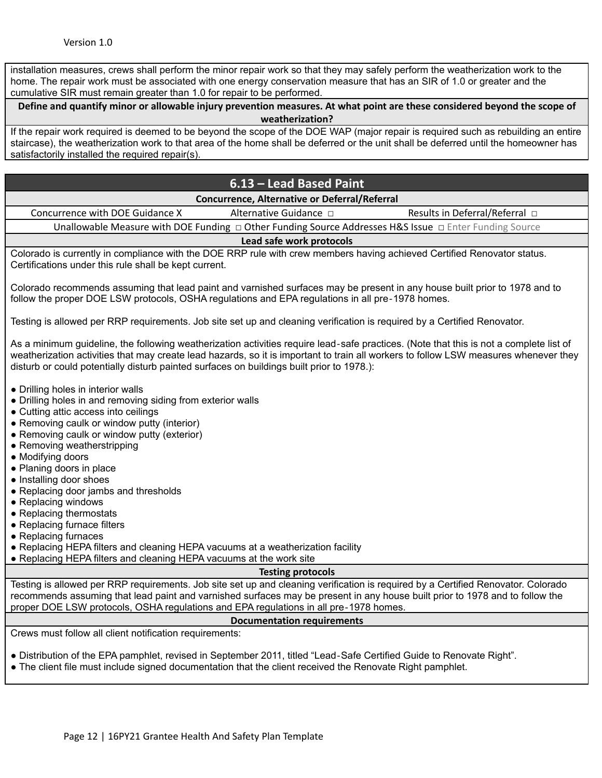installation measures, crews shall perform the minor repair work so that they may safely perform the weatherization work to the home. The repair work must be associated with one energy conservation measure that has an SIR of 1.0 or greater and the cumulative SIR must remain greater than 1.0 for repair to be performed.

Define and quantify minor or allowable injury prevention measures. At what point are these considered beyond the scope of **weatherization?**

If the repair work required is deemed to be beyond the scope of the DOE WAP (major repair is required such as rebuilding an entire staircase), the weatherization work to that area of the home shall be deferred or the unit shall be deferred until the homeowner has satisfactorily installed the required repair(s).

# **6.13 – Lead Based Paint**

**Concurrence, Alternative or Deferral/Referral**

Concurrence with DOE Guidance X Alternative Guidance  $\Box$  Results in Deferral/Referral  $\Box$ Unallowable Measure with DOE Funding □ Other Funding Source Addresses H&S Issue □ Enter Funding Source

### **Lead safe work protocols**

Colorado is currently in compliance with the DOE RRP rule with crew members having achieved Certified Renovator status. Certifications under this rule shall be kept current.

Colorado recommends assuming that lead paint and varnished surfaces may be present in any house built prior to 1978 and to follow the proper DOE LSW protocols, OSHA regulations and EPA regulations in all pre‐1978 homes.

Testing is allowed per RRP requirements. Job site set up and cleaning verification is required by a Certified Renovator.

As a minimum guideline, the following weatherization activities require lead‐safe practices. (Note that this is not a complete list of weatherization activities that may create lead hazards, so it is important to train all workers to follow LSW measures whenever they disturb or could potentially disturb painted surfaces on buildings built prior to 1978.):

- Drilling holes in interior walls
- Drilling holes in and removing siding from exterior walls
- Cutting attic access into ceilings
- Removing caulk or window putty (interior)
- Removing caulk or window putty (exterior)
- Removing weatherstripping
- Modifying doors
- Planing doors in place
- Installing door shoes
- Replacing door jambs and thresholds
- Replacing windows
- Replacing thermostats
- Replacing furnace filters
- Replacing furnaces
- Replacing HEPA filters and cleaning HEPA vacuums at a weatherization facility
- Replacing HEPA filters and cleaning HEPA vacuums at the work site

#### **Testing protocols**

Testing is allowed per RRP requirements. Job site set up and cleaning verification is required by a Certified Renovator. Colorado recommends assuming that lead paint and varnished surfaces may be present in any house built prior to 1978 and to follow the proper DOE LSW protocols, OSHA regulations and EPA regulations in all pre‐1978 homes.

#### **Documentation requirements**

Crews must follow all client notification requirements:

● Distribution of the EPA pamphlet, revised in September 2011, titled "Lead‐Safe Certified Guide to Renovate Right".

• The client file must include signed documentation that the client received the Renovate Right pamphlet.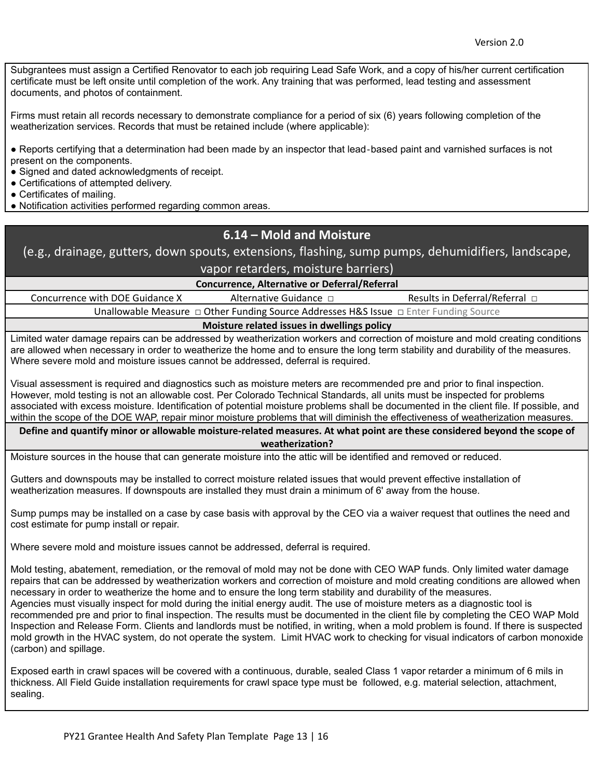Subgrantees must assign a Certified Renovator to each job requiring Lead Safe Work, and a copy of his/her current certification certificate must be left onsite until completion of the work. Any training that was performed, lead testing and assessment documents, and photos of containment.

Firms must retain all records necessary to demonstrate compliance for a period of six (6) years following completion of the weatherization services. Records that must be retained include (where applicable):

● Reports certifying that a determination had been made by an inspector that lead‐based paint and varnished surfaces is not present on the components.

• Signed and dated acknowledgments of receipt.

- Certifications of attempted delivery.
- Certificates of mailing.
- Notification activities performed regarding common areas.

# **6.14 – Mold and Moisture**

(e.g., drainage, gutters, down spouts, extensions, flashing, sump pumps, dehumidifiers, landscape, vapor retarders, moisture barriers)

**Concurrence, Alternative or Deferral/Referral**

Concurrence with DOE Guidance X Alternative Guidance □ Results in Deferral/Referral □ Unallowable Measure □ Other Funding Source Addresses H&S Issue □ Enter Funding Source

**Moisture related issues in dwellings policy**

Limited water damage repairs can be addressed by weatherization workers and correction of moisture and mold creating conditions are allowed when necessary in order to weatherize the home and to ensure the long term stability and durability of the measures. Where severe mold and moisture issues cannot be addressed, deferral is required.

Visual assessment is required and diagnostics such as moisture meters are recommended pre and prior to final inspection. However, mold testing is not an allowable cost. Per Colorado Technical Standards, all units must be inspected for problems associated with excess moisture. Identification of potential moisture problems shall be documented in the client file. If possible, and within the scope of the DOE WAP, repair minor moisture problems that will diminish the effectiveness of weatherization measures.

Define and quantify minor or allowable moisture-related measures. At what point are these considered beyond the scope of **weatherization?**

Moisture sources in the house that can generate moisture into the attic will be identified and removed or reduced.

Gutters and downspouts may be installed to correct moisture related issues that would prevent effective installation of weatherization measures. If downspouts are installed they must drain a minimum of 6' away from the house.

Sump pumps may be installed on a case by case basis with approval by the CEO via a waiver request that outlines the need and cost estimate for pump install or repair.

Where severe mold and moisture issues cannot be addressed, deferral is required.

Mold testing, abatement, remediation, or the removal of mold may not be done with CEO WAP funds. Only limited water damage repairs that can be addressed by weatherization workers and correction of moisture and mold creating conditions are allowed when necessary in order to weatherize the home and to ensure the long term stability and durability of the measures. Agencies must visually inspect for mold during the initial energy audit. The use of moisture meters as a diagnostic tool is recommended pre and prior to final inspection. The results must be documented in the client file by completing the CEO WAP Mold Inspection and Release Form. Clients and landlords must be notified, in writing, when a mold problem is found. If there is suspected mold growth in the HVAC system, do not operate the system. Limit HVAC work to checking for visual indicators of carbon monoxide (carbon) and spillage.

Exposed earth in crawl spaces will be covered with a continuous, durable, sealed Class 1 vapor retarder a minimum of 6 mils in thickness. All Field Guide installation requirements for crawl space type must be followed, e.g. material selection, attachment, sealing.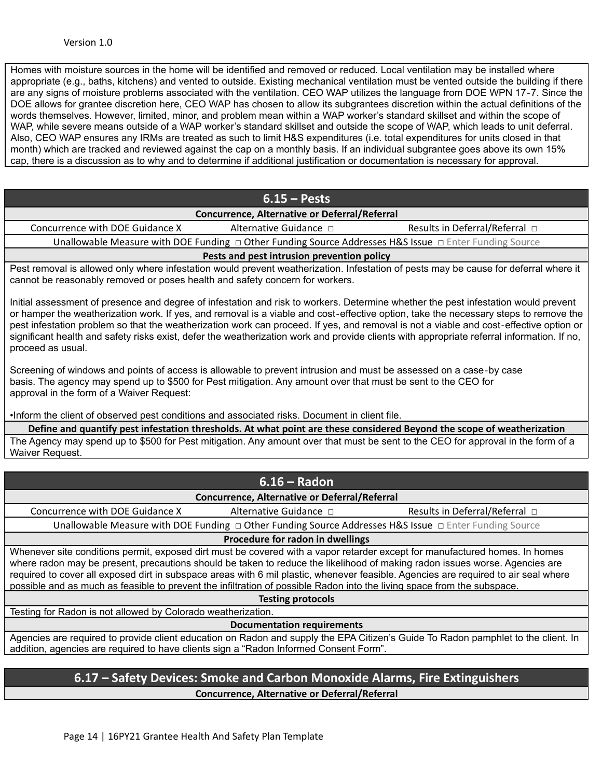Homes with moisture sources in the home will be identified and removed or reduced. Local ventilation may be installed where appropriate (e.g., baths, kitchens) and vented to outside. Existing mechanical ventilation must be vented outside the building if there are any signs of moisture problems associated with the ventilation. CEO WAP utilizes the language from DOE WPN 17‐7. Since the DOE allows for grantee discretion here, CEO WAP has chosen to allow its subgrantees discretion within the actual definitions of the words themselves. However, limited, minor, and problem mean within a WAP worker's standard skillset and within the scope of WAP, while severe means outside of a WAP worker's standard skillset and outside the scope of WAP, which leads to unit deferral. Also, CEO WAP ensures any IRMs are treated as such to limit H&S expenditures (i.e. total expenditures for units closed in that month) which are tracked and reviewed against the cap on a monthly basis. If an individual subgrantee goes above its own 15% cap, there is a discussion as to why and to determine if additional justification or documentation is necessary for approval.

| $6.15 - Pests$                                                                                                                                                                                                                                                                                                                                                                                                                                                                                                                                                                          |  |  |  |
|-----------------------------------------------------------------------------------------------------------------------------------------------------------------------------------------------------------------------------------------------------------------------------------------------------------------------------------------------------------------------------------------------------------------------------------------------------------------------------------------------------------------------------------------------------------------------------------------|--|--|--|
| Concurrence, Alternative or Deferral/Referral                                                                                                                                                                                                                                                                                                                                                                                                                                                                                                                                           |  |  |  |
| Concurrence with DOE Guidance X<br>Alternative Guidance □<br>Results in Deferral/Referral $\Box$                                                                                                                                                                                                                                                                                                                                                                                                                                                                                        |  |  |  |
| Unallowable Measure with DOE Funding $\Box$ Other Funding Source Addresses H&S Issue $\Box$ Enter Funding Source                                                                                                                                                                                                                                                                                                                                                                                                                                                                        |  |  |  |
| Pests and pest intrusion prevention policy                                                                                                                                                                                                                                                                                                                                                                                                                                                                                                                                              |  |  |  |
| Pest removal is allowed only where infestation would prevent weatherization. Infestation of pests may be cause for deferral where it<br>cannot be reasonably removed or poses health and safety concern for workers.                                                                                                                                                                                                                                                                                                                                                                    |  |  |  |
| Initial assessment of presence and degree of infestation and risk to workers. Determine whether the pest infestation would prevent<br>or hamper the weatherization work. If yes, and removal is a viable and cost-effective option, take the necessary steps to remove the<br>pest infestation problem so that the weatherization work can proceed. If yes, and removal is not a viable and cost-effective option or<br>significant health and safety risks exist, defer the weatherization work and provide clients with appropriate referral information. If no,<br>proceed as usual. |  |  |  |
| Screening of windows and points of access is allowable to prevent intrusion and must be assessed on a case-by case<br>basis. The agency may spend up to \$500 for Pest mitigation. Any amount over that must be sent to the CEO for<br>approval in the form of a Waiver Request:                                                                                                                                                                                                                                                                                                        |  |  |  |
| . Inform the client of observed pest conditions and associated risks. Document in client file.                                                                                                                                                                                                                                                                                                                                                                                                                                                                                          |  |  |  |
| Define and quantify pest infestation thresholds. At what point are these considered Beyond the scope of weatherization                                                                                                                                                                                                                                                                                                                                                                                                                                                                  |  |  |  |
| The Agency may spend up to \$500 for Pest mitigation. Any amount over that must be sent to the CEO for approval in the form of a<br>Waiver Request.                                                                                                                                                                                                                                                                                                                                                                                                                                     |  |  |  |
|                                                                                                                                                                                                                                                                                                                                                                                                                                                                                                                                                                                         |  |  |  |
| $6.16 - Radon$                                                                                                                                                                                                                                                                                                                                                                                                                                                                                                                                                                          |  |  |  |
| Concurrence, Alternative or Deferral/Referral                                                                                                                                                                                                                                                                                                                                                                                                                                                                                                                                           |  |  |  |
| Concurrence with DOE Guidance X<br>Alternative Guidance □<br>Results in Deferral/Referral □                                                                                                                                                                                                                                                                                                                                                                                                                                                                                             |  |  |  |
| Unallowable Measure with DOE Funding $\Box$ Other Funding Source Addresses H&S Issue $\Box$ Enter Funding Source                                                                                                                                                                                                                                                                                                                                                                                                                                                                        |  |  |  |
| Procedure for radon in dwellings                                                                                                                                                                                                                                                                                                                                                                                                                                                                                                                                                        |  |  |  |
| Whenever site conditions permit, exposed dirt must be covered with a vapor retarder except for manufactured homes. In homes<br>where radon may be present, precautions should be taken to reduce the likelihood of making radon issues worse. Agencies are<br>required to cover all exposed dirt in subspace areas with 6 mil plastic, whenever feasible. Agencies are required to air seal where<br>possible and as much as feasible to prevent the infiltration of possible Radon into the living space from the subspace.                                                            |  |  |  |

**Testing protocols**

Testing for Radon is not allowed by Colorado weatherization.

**Documentation requirements**

Agencies are required to provide client education on Radon and supply the EPA Citizen's Guide To Radon pamphlet to the client. In addition, agencies are required to have clients sign a "Radon Informed Consent Form".

### **6.17 – Safety Devices: Smoke and Carbon Monoxide Alarms, Fire Extinguishers Concurrence, Alternative or Deferral/Referral**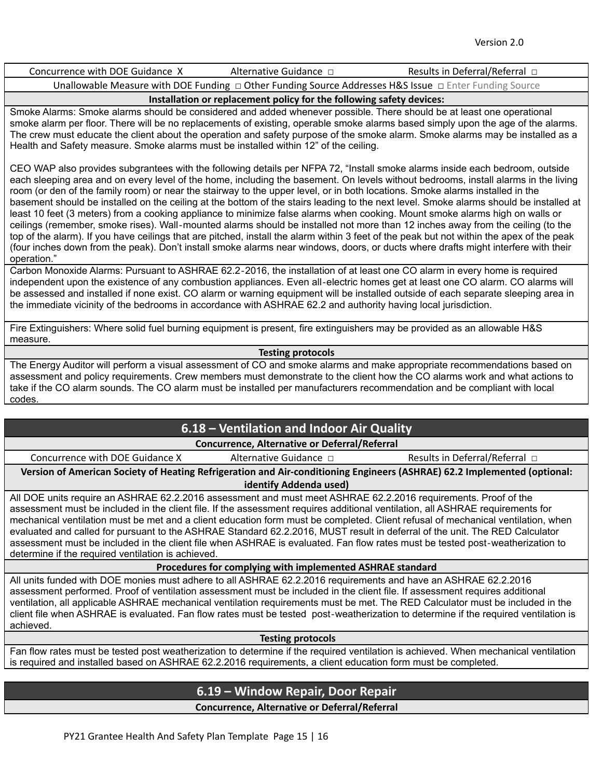Concurrence with DOE Guidance X Alternative Guidance □ Results in Deferral/Referral □

Unallowable Measure with DOE Funding □ Other Funding Source Addresses H&S Issue □ Enter Funding Source

### **Installation or replacement policy for the following safety devices:**

Smoke Alarms: Smoke alarms should be considered and added whenever possible. There should be at least one operational smoke alarm per floor. There will be no replacements of existing, operable smoke alarms based simply upon the age of the alarms. The crew must educate the client about the operation and safety purpose of the smoke alarm. Smoke alarms may be installed as a Health and Safety measure. Smoke alarms must be installed within 12" of the ceiling.

CEO WAP also provides subgrantees with the following details per NFPA 72, "Install smoke alarms inside each bedroom, outside each sleeping area and on every level of the home, including the basement. On levels without bedrooms, install alarms in the living room (or den of the family room) or near the stairway to the upper level, or in both locations. Smoke alarms installed in the basement should be installed on the ceiling at the bottom of the stairs leading to the next level. Smoke alarms should be installed at least 10 feet (3 meters) from a cooking appliance to minimize false alarms when cooking. Mount smoke alarms high on walls or ceilings (remember, smoke rises). Wall‐mounted alarms should be installed not more than 12 inches away from the ceiling (to the top of the alarm). If you have ceilings that are pitched, install the alarm within 3 feet of the peak but not within the apex of the peak (four inches down from the peak). Don't install smoke alarms near windows, doors, or ducts where drafts might interfere with their operation."

Carbon Monoxide Alarms: Pursuant to ASHRAE 62.2‐2016, the installation of at least one CO alarm in every home is required independent upon the existence of any combustion appliances. Even all‐electric homes get at least one CO alarm. CO alarms will be assessed and installed if none exist. CO alarm or warning equipment will be installed outside of each separate sleeping area in the immediate vicinity of the bedrooms in accordance with ASHRAE 62.2 and authority having local jurisdiction.

Fire Extinguishers: Where solid fuel burning equipment is present, fire extinguishers may be provided as an allowable H&S measure.

#### **Testing protocols**

The Energy Auditor will perform a visual assessment of CO and smoke alarms and make appropriate recommendations based on assessment and policy requirements. Crew members must demonstrate to the client how the CO alarms work and what actions to take if the CO alarm sounds. The CO alarm must be installed per manufacturers recommendation and be compliant with local codes.

# **6.18 – Ventilation and Indoor Air Quality**

### **Concurrence, Alternative or Deferral/Referral**

Concurrence with DOE Guidance X Alternative Guidance □ Results in Deferral/Referral □

**Version of American Society of Heating Refrigeration and Air-conditioning Engineers (ASHRAE) 62.2 Implemented (optional: identify Addenda used)**

All DOE units require an ASHRAE 62.2.2016 assessment and must meet ASHRAE 62.2.2016 requirements. Proof of the assessment must be included in the client file. If the assessment requires additional ventilation, all ASHRAE requirements for mechanical ventilation must be met and a client education form must be completed. Client refusal of mechanical ventilation, when evaluated and called for pursuant to the ASHRAE Standard 62.2.2016, MUST result in deferral of the unit. The RED Calculator assessment must be included in the client file when ASHRAE is evaluated. Fan flow rates must be tested post-weatherization to determine if the required ventilation is achieved.

**Procedures for complying with implemented ASHRAE standard**

All units funded with DOE monies must adhere to all ASHRAE 62.2.2016 requirements and have an ASHRAE 62.2.2016 assessment performed. Proof of ventilation assessment must be included in the client file. If assessment requires additional ventilation, all applicable ASHRAE mechanical ventilation requirements must be met. The RED Calculator must be included in the client file when ASHRAE is evaluated. Fan flow rates must be tested post‐weatherization to determine if the required ventilation is achieved.

#### **Testing protocols**

Fan flow rates must be tested post weatherization to determine if the required ventilation is achieved. When mechanical ventilation is required and installed based on ASHRAE 62.2.2016 requirements, a client education form must be completed.

# **6.19 – Window Repair, Door Repair**

**Concurrence, Alternative or Deferral/Referral**